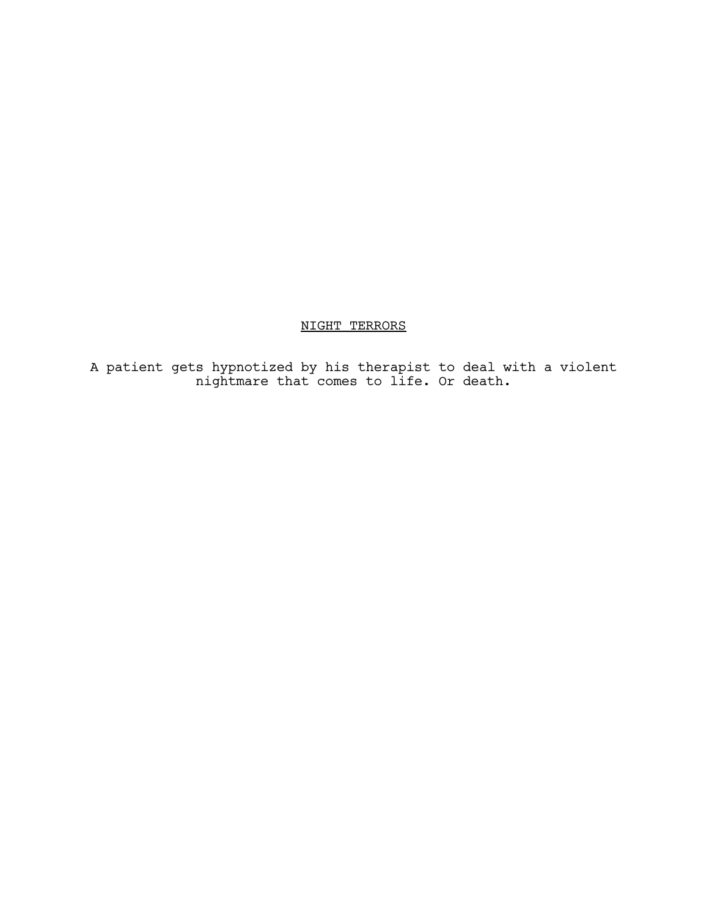# NIGHT TERRORS

A patient gets hypnotized by his therapist to deal with a violent nightmare that comes to life. Or death.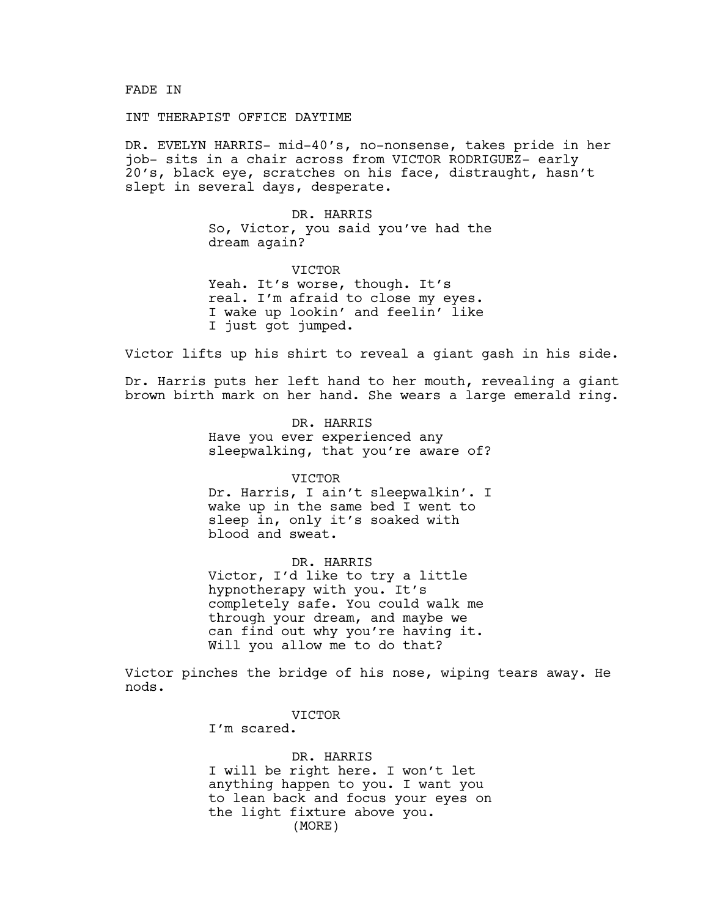### FADE IN

## INT THERAPIST OFFICE DAYTIME

DR. EVELYN HARRIS- mid-40's, no-nonsense, takes pride in her job- sits in a chair across from VICTOR RODRIGUEZ- early 20's, black eye, scratches on his face, distraught, hasn't slept in several days, desperate.

> DR. HARRIS So, Victor, you said you've had the dream again?

VICTOR Yeah. It's worse, though. It's real. I'm afraid to close my eyes. I wake up lookin' and feelin' like I just got jumped.

Victor lifts up his shirt to reveal a giant gash in his side.

Dr. Harris puts her left hand to her mouth, revealing a giant brown birth mark on her hand. She wears a large emerald ring.

> DR. HARRIS Have you ever experienced any sleepwalking, that you're aware of?

> > VICTOR

Dr. Harris, I ain't sleepwalkin'. I wake up in the same bed I went to sleep in, only it's soaked with blood and sweat.

DR. HARRIS Victor, I'd like to try a little hypnotherapy with you. It's completely safe. You could walk me through your dream, and maybe we can find out why you're having it. Will you allow me to do that?

Victor pinches the bridge of his nose, wiping tears away. He nods.

VICTOR

I'm scared.

DR. HARRIS I will be right here. I won't let anything happen to you. I want you to lean back and focus your eyes on the light fixture above you. (MORE)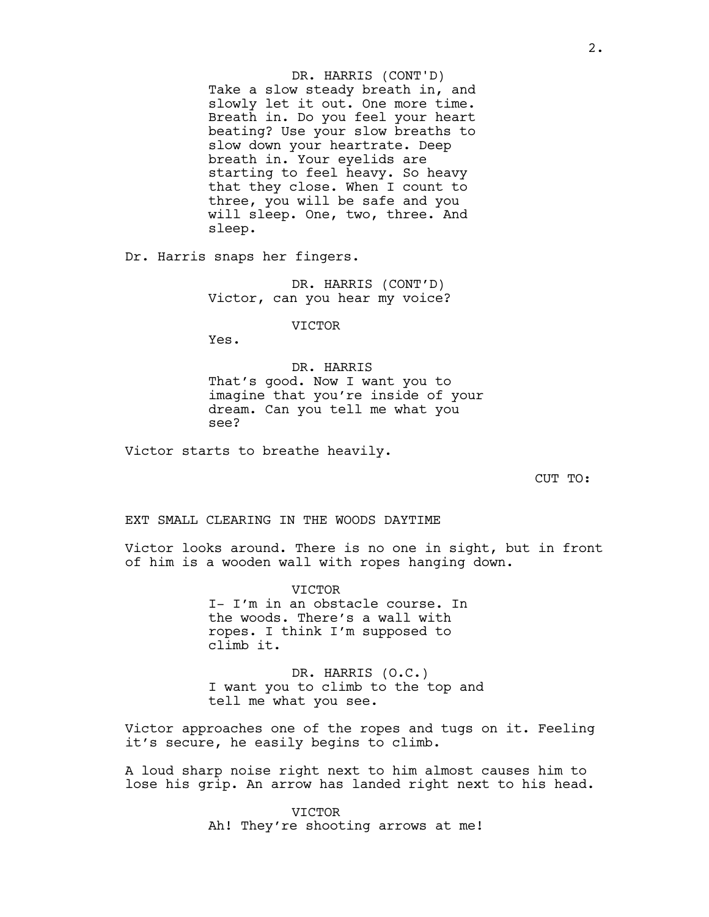Take a slow steady breath in, and slowly let it out. One more time. Breath in. Do you feel your heart beating? Use your slow breaths to slow down your heartrate. Deep breath in. Your eyelids are starting to feel heavy. So heavy that they close. When I count to three, you will be safe and you will sleep. One, two, three. And sleep. DR. HARRIS (CONT'D)

Dr. Harris snaps her fingers.

DR. HARRIS (CONT'D) Victor, can you hear my voice?

VICTOR

Yes.

DR. HARRIS That's good. Now I want you to imagine that you're inside of your dream. Can you tell me what you see?

Victor starts to breathe heavily.

CUT TO:

EXT SMALL CLEARING IN THE WOODS DAYTIME

Victor looks around. There is no one in sight, but in front of him is a wooden wall with ropes hanging down.

> VICTOR I- I'm in an obstacle course. In the woods. There's a wall with ropes. I think I'm supposed to climb it.

DR. HARRIS (O.C.) I want you to climb to the top and tell me what you see.

Victor approaches one of the ropes and tugs on it. Feeling it's secure, he easily begins to climb.

A loud sharp noise right next to him almost causes him to lose his grip. An arrow has landed right next to his head.

> VICTOR Ah! They're shooting arrows at me!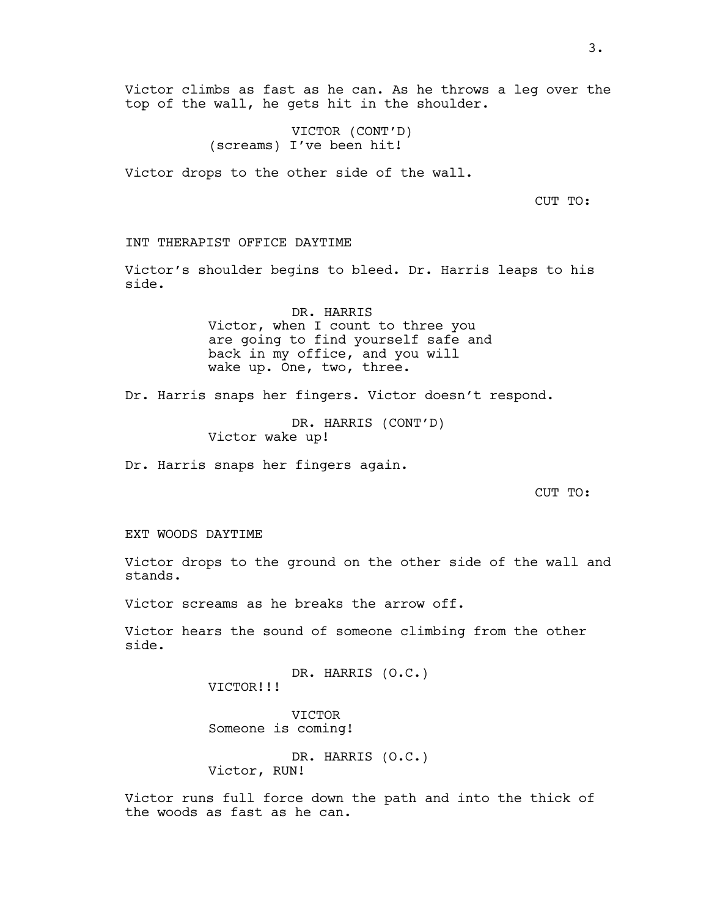VICTOR (CONT'D) (screams) I've been hit!

Victor drops to the other side of the wall.

CUT TO:

## INT THERAPIST OFFICE DAYTIME

Victor's shoulder begins to bleed. Dr. Harris leaps to his side.

> DR. HARRIS Victor, when I count to three you are going to find yourself safe and back in my office, and you will wake up. One, two, three.

Dr. Harris snaps her fingers. Victor doesn't respond.

DR. HARRIS (CONT'D) Victor wake up!

Dr. Harris snaps her fingers again.

CUT TO:

EXT WOODS DAYTIME

Victor drops to the ground on the other side of the wall and stands.

Victor screams as he breaks the arrow off.

Victor hears the sound of someone climbing from the other side.

> DR. HARRIS (O.C.) VICTOR!!!

VICTOR Someone is coming!

DR. HARRIS (O.C.) Victor, RUN!

Victor runs full force down the path and into the thick of the woods as fast as he can.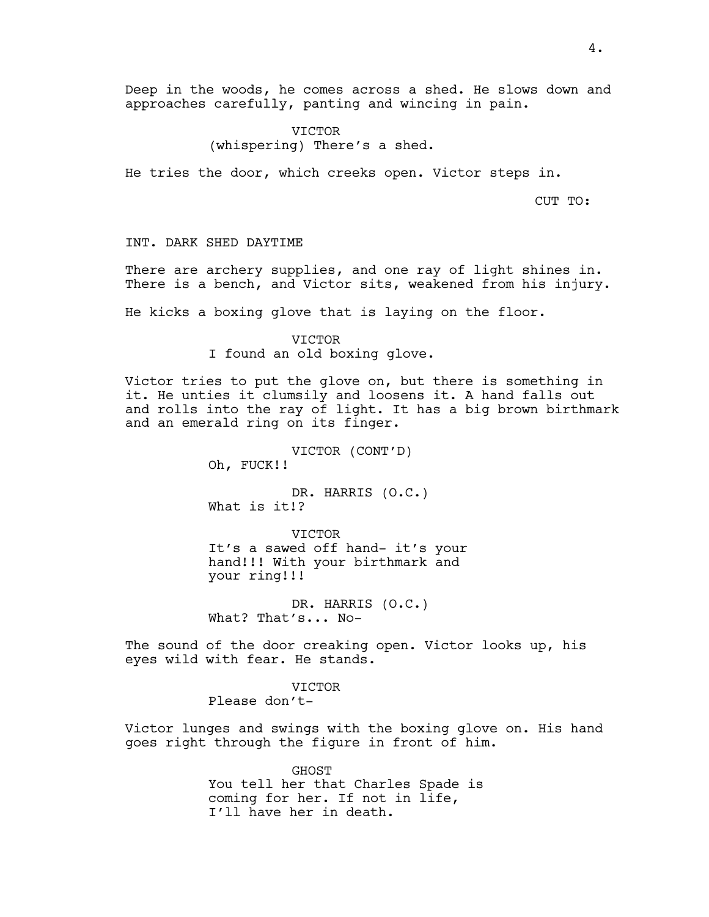Deep in the woods, he comes across a shed. He slows down and approaches carefully, panting and wincing in pain.

> VICTOR (whispering) There's a shed.

He tries the door, which creeks open. Victor steps in.

CUT TO:

INT. DARK SHED DAYTIME

There are archery supplies, and one ray of light shines in. There is a bench, and Victor sits, weakened from his injury.

He kicks a boxing glove that is laying on the floor.

VICTOR I found an old boxing glove.

Victor tries to put the glove on, but there is something in it. He unties it clumsily and loosens it. A hand falls out and rolls into the ray of light. It has a big brown birthmark and an emerald ring on its finger.

> VICTOR (CONT'D) Oh, FUCK!!

DR. HARRIS (O.C.) What is it!?

VICTOR It's a sawed off hand- it's your hand!!! With your birthmark and your ring!!!

DR. HARRIS (O.C.) What? That's... No-

The sound of the door creaking open. Victor looks up, his eyes wild with fear. He stands.

> VICTOR Please don't-

Victor lunges and swings with the boxing glove on. His hand goes right through the figure in front of him.

> GHOST You tell her that Charles Spade is coming for her. If not in life, I'll have her in death.